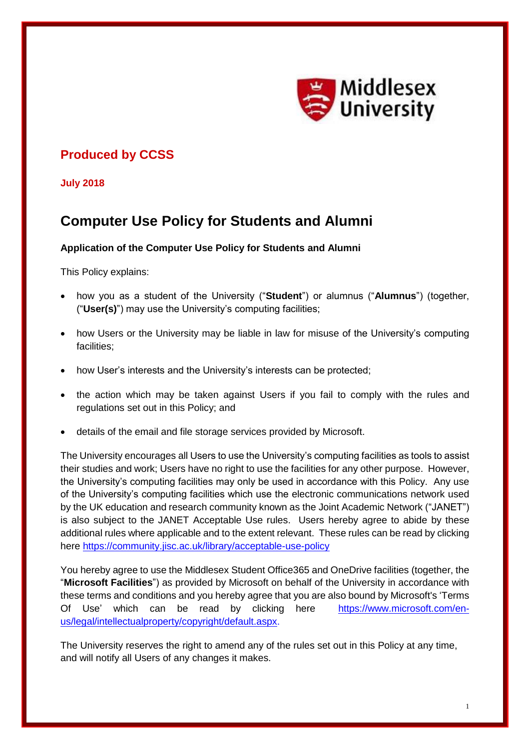

## **Produced by CCSS**

**July 2018**

# **Computer Use Policy for Students and Alumni**

## **Application of the Computer Use Policy for Students and Alumni**

This Policy explains:

- how you as a student of the University ("**Student**") or alumnus ("**Alumnus**") (together, ("**User(s)**") may use the University's computing facilities;
- how Users or the University may be liable in law for misuse of the University's computing facilities;
- how User's interests and the University's interests can be protected;
- the action which may be taken against Users if you fail to comply with the rules and regulations set out in this Policy; and
- details of the email and file storage services provided by Microsoft.

The University encourages all Users to use the University's computing facilities as tools to assist their studies and work; Users have no right to use the facilities for any other purpose. However, the University's computing facilities may only be used in accordance with this Policy. Any use of the University's computing facilities which use the electronic communications network used by the UK education and research community known as the Joint Academic Network ("JANET") is also subject to the JANET Acceptable Use rules. Users hereby agree to abide by these additional rules where applicable and to the extent relevant. These rules can be read by clicking here https://community.jisc.ac.uk/library/acceptable-use-policy

You hereby agree to use the Middlesex Student Office365 and OneDrive facilities (together, the "**Microsoft Facilities**") as provided by Microsoft on behalf of the University in accordance with these terms and conditions and you hereby agree that you are also bound by Microsoft's 'Terms Of Use' which can be read by clicking here [https://www.microsoft.com/en](http://www.microsoft.com/en-us/legal/intellectualproperty/copyright/default.aspx)[us/legal/intellectualproperty/copyright/default.aspx.](http://www.microsoft.com/en-us/legal/intellectualproperty/copyright/default.aspx)

The University reserves the right to amend any of the rules set out in this Policy at any time, and will notify all Users of any changes it makes.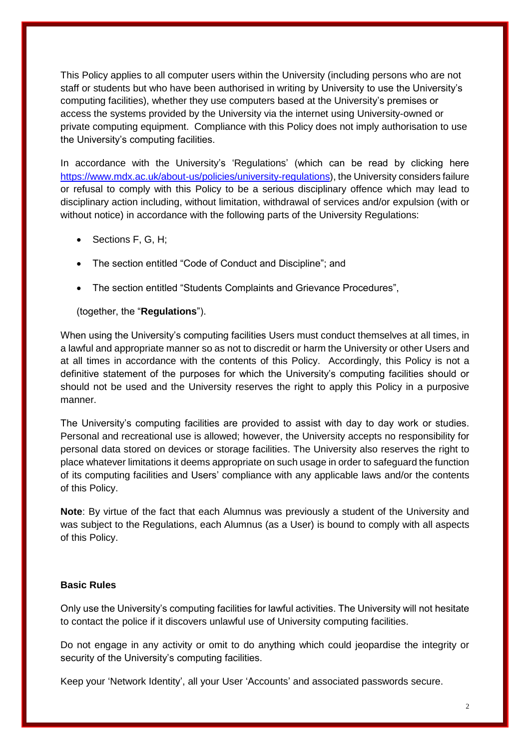This Policy applies to all computer users within the University (including persons who are not staff or students but who have been authorised in writing by University to use the University's computing facilities), whether they use computers based at the University's premises or access the systems provided by the University via the internet using University-owned or private computing equipment. Compliance with this Policy does not imply authorisation to use the University's computing facilities.

In accordance with the University's 'Regulations' (which can be read by clicking here https://www.mdx.ac.uk/about-us/policies/university-regulations), the University considers failure or refusal to comply with this Policy to be a serious disciplinary offence which may lead to disciplinary action including, without limitation, withdrawal of services and/or expulsion (with or without notice) in accordance with the following parts of the University Regulations:

- Sections F, G, H:
- The section entitled "Code of Conduct and Discipline"; and
- The section entitled "Students Complaints and Grievance Procedures",

#### (together, the "**Regulations**").

When using the University's computing facilities Users must conduct themselves at all times, in a lawful and appropriate manner so as not to discredit or harm the University or other Users and at all times in accordance with the contents of this Policy. Accordingly, this Policy is not a definitive statement of the purposes for which the University's computing facilities should or should not be used and the University reserves the right to apply this Policy in a purposive manner.

The University's computing facilities are provided to assist with day to day work or studies. Personal and recreational use is allowed; however, the University accepts no responsibility for personal data stored on devices or storage facilities. The University also reserves the right to place whatever limitations it deems appropriate on such usage in order to safeguard the function of its computing facilities and Users' compliance with any applicable laws and/or the contents of this Policy.

**Note**: By virtue of the fact that each Alumnus was previously a student of the University and was subject to the Regulations, each Alumnus (as a User) is bound to comply with all aspects of this Policy.

## **Basic Rules**

Only use the University's computing facilities for lawful activities. The University will not hesitate to contact the police if it discovers unlawful use of University computing facilities.

Do not engage in any activity or omit to do anything which could jeopardise the integrity or security of the University's computing facilities.

Keep your 'Network Identity', all your User 'Accounts' and associated passwords secure.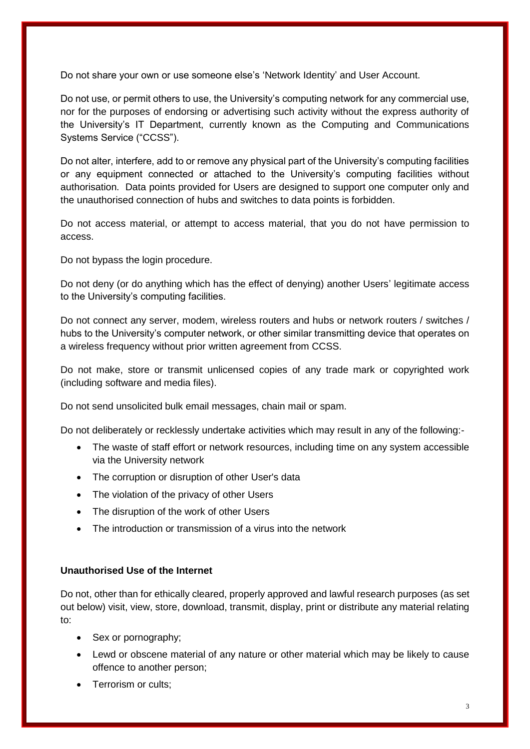Do not share your own or use someone else's 'Network Identity' and User Account.

Do not use, or permit others to use, the University's computing network for any commercial use, nor for the purposes of endorsing or advertising such activity without the express authority of the University's IT Department, currently known as the Computing and Communications Systems Service ("CCSS").

Do not alter, interfere, add to or remove any physical part of the University's computing facilities or any equipment connected or attached to the University's computing facilities without authorisation. Data points provided for Users are designed to support one computer only and the unauthorised connection of hubs and switches to data points is forbidden.

Do not access material, or attempt to access material, that you do not have permission to access.

Do not bypass the login procedure.

Do not deny (or do anything which has the effect of denying) another Users' legitimate access to the University's computing facilities.

Do not connect any server, modem, wireless routers and hubs or network routers / switches / hubs to the University's computer network, or other similar transmitting device that operates on a wireless frequency without prior written agreement from CCSS.

Do not make, store or transmit unlicensed copies of any trade mark or copyrighted work (including software and media files).

Do not send unsolicited bulk email messages, chain mail or spam.

Do not deliberately or recklessly undertake activities which may result in any of the following:-

- The waste of staff effort or network resources, including time on any system accessible via the University network
- The corruption or disruption of other User's data
- The violation of the privacy of other Users
- The disruption of the work of other Users
- The introduction or transmission of a virus into the network

## **Unauthorised Use of the Internet**

Do not, other than for ethically cleared, properly approved and lawful research purposes (as set out below) visit, view, store, download, transmit, display, print or distribute any material relating to:

- Sex or pornography;
- Lewd or obscene material of any nature or other material which may be likely to cause offence to another person;
- Terrorism or cults;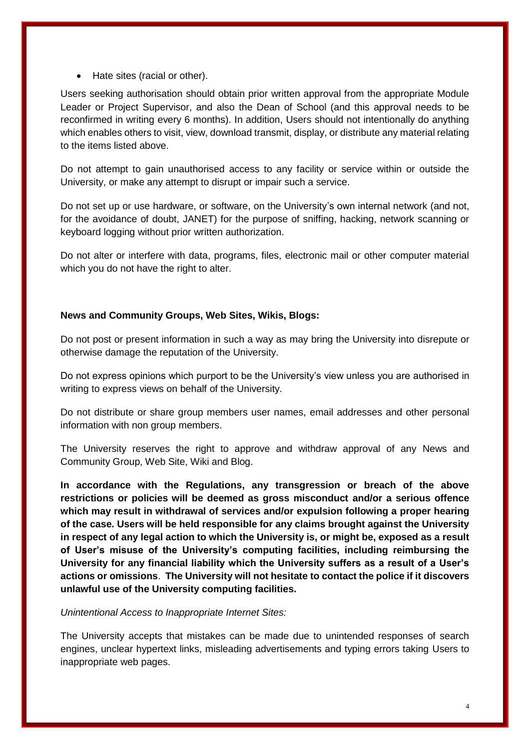• Hate sites (racial or other).

Users seeking authorisation should obtain prior written approval from the appropriate Module Leader or Project Supervisor, and also the Dean of School (and this approval needs to be reconfirmed in writing every 6 months). In addition, Users should not intentionally do anything which enables others to visit, view, download transmit, display, or distribute any material relating to the items listed above.

Do not attempt to gain unauthorised access to any facility or service within or outside the University, or make any attempt to disrupt or impair such a service.

Do not set up or use hardware, or software, on the University's own internal network (and not, for the avoidance of doubt, JANET) for the purpose of sniffing, hacking, network scanning or keyboard logging without prior written authorization.

Do not alter or interfere with data, programs, files, electronic mail or other computer material which you do not have the right to alter.

## **News and Community Groups, Web Sites, Wikis, Blogs:**

Do not post or present information in such a way as may bring the University into disrepute or otherwise damage the reputation of the University.

Do not express opinions which purport to be the University's view unless you are authorised in writing to express views on behalf of the University.

Do not distribute or share group members user names, email addresses and other personal information with non group members.

The University reserves the right to approve and withdraw approval of any News and Community Group, Web Site, Wiki and Blog.

**In accordance with the Regulations, any transgression or breach of the above restrictions or policies will be deemed as gross misconduct and/or a serious offence which may result in withdrawal of services and/or expulsion following a proper hearing of the case. Users will be held responsible for any claims brought against the University in respect of any legal action to which the University is, or might be, exposed as a result of User's misuse of the University's computing facilities, including reimbursing the University for any financial liability which the University suffers as a result of a User's actions or omissions**. **The University will not hesitate to contact the police if it discovers unlawful use of the University computing facilities.**

#### *Unintentional Access to Inappropriate Internet Sites:*

The University accepts that mistakes can be made due to unintended responses of search engines, unclear hypertext links, misleading advertisements and typing errors taking Users to inappropriate web pages.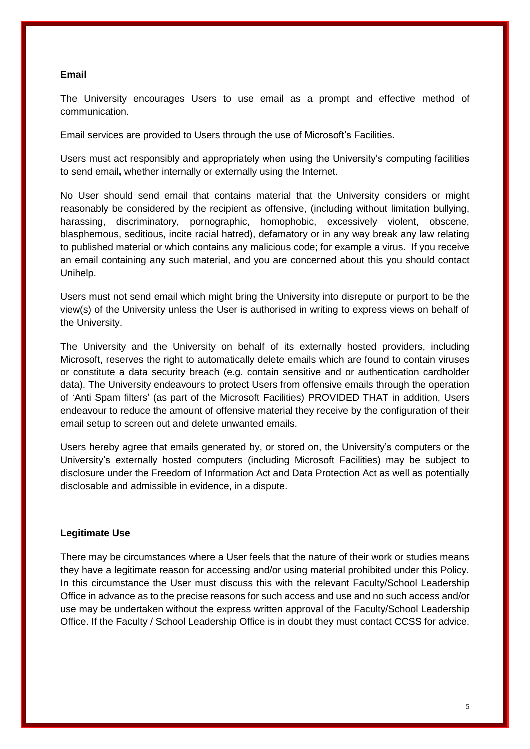#### **Email**

The University encourages Users to use email as a prompt and effective method of communication.

Email services are provided to Users through the use of Microsoft's Facilities.

Users must act responsibly and appropriately when using the University's computing facilities to send email**,** whether internally or externally using the Internet.

No User should send email that contains material that the University considers or might reasonably be considered by the recipient as offensive, (including without limitation bullying, harassing, discriminatory, pornographic, homophobic, excessively violent, obscene, blasphemous, seditious, incite racial hatred), defamatory or in any way break any law relating to published material or which contains any malicious code; for example a virus. If you receive an email containing any such material, and you are concerned about this you should contact Unihelp.

Users must not send email which might bring the University into disrepute or purport to be the view(s) of the University unless the User is authorised in writing to express views on behalf of the University.

The University and the University on behalf of its externally hosted providers, including Microsoft, reserves the right to automatically delete emails which are found to contain viruses or constitute a data security breach (e.g. contain sensitive and or authentication cardholder data). The University endeavours to protect Users from offensive emails through the operation of 'Anti Spam filters' (as part of the Microsoft Facilities) PROVIDED THAT in addition, Users endeavour to reduce the amount of offensive material they receive by the configuration of their email setup to screen out and delete unwanted emails.

Users hereby agree that emails generated by, or stored on, the University's computers or the University's externally hosted computers (including Microsoft Facilities) may be subject to disclosure under the Freedom of Information Act and Data Protection Act as well as potentially disclosable and admissible in evidence, in a dispute.

#### **Legitimate Use**

There may be circumstances where a User feels that the nature of their work or studies means they have a legitimate reason for accessing and/or using material prohibited under this Policy. In this circumstance the User must discuss this with the relevant Faculty/School Leadership Office in advance as to the precise reasons for such access and use and no such access and/or use may be undertaken without the express written approval of the Faculty/School Leadership Office. If the Faculty / School Leadership Office is in doubt they must contact CCSS for advice.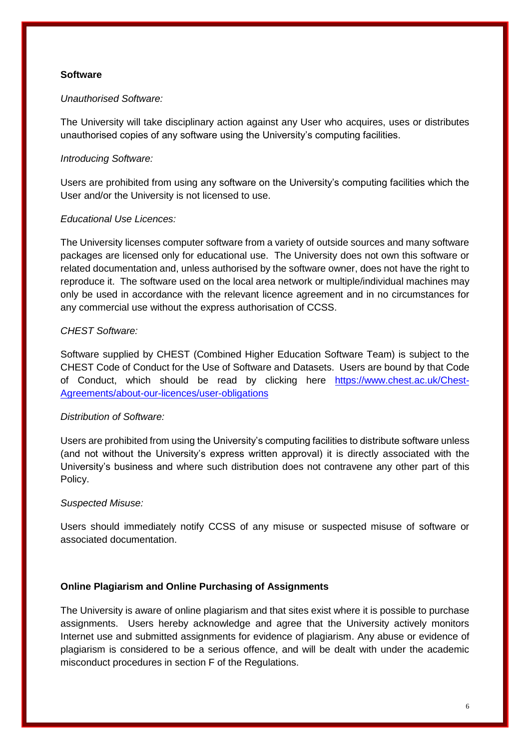## **Software**

## *Unauthorised Software:*

The University will take disciplinary action against any User who acquires, uses or distributes unauthorised copies of any software using the University's computing facilities.

## *Introducing Software:*

Users are prohibited from using any software on the University's computing facilities which the User and/or the University is not licensed to use.

## *Educational Use Licences:*

The University licenses computer software from a variety of outside sources and many software packages are licensed only for educational use. The University does not own this software or related documentation and, unless authorised by the software owner, does not have the right to reproduce it. The software used on the local area network or multiple/individual machines may only be used in accordance with the relevant licence agreement and in no circumstances for any commercial use without the express authorisation of CCSS.

## *CHEST Software:*

Software supplied by CHEST (Combined Higher Education Software Team) is subject to the CHEST Code of Conduct for the Use of Software and Datasets. Users are bound by that Code of Conduct, which should be read by clicking here https://www.chest.ac.uk/Chest-Agreements/about-our-licences/user-obligations

## *Distribution of Software:*

Users are prohibited from using the University's computing facilities to distribute software unless (and not without the University's express written approval) it is directly associated with the University's business and where such distribution does not contravene any other part of this Policy.

#### *Suspected Misuse:*

Users should immediately notify CCSS of any misuse or suspected misuse of software or associated documentation.

## **Online Plagiarism and Online Purchasing of Assignments**

The University is aware of online plagiarism and that sites exist where it is possible to purchase assignments. Users hereby acknowledge and agree that the University actively monitors Internet use and submitted assignments for evidence of plagiarism. Any abuse or evidence of plagiarism is considered to be a serious offence, and will be dealt with under the academic misconduct procedures in section F of the Regulations.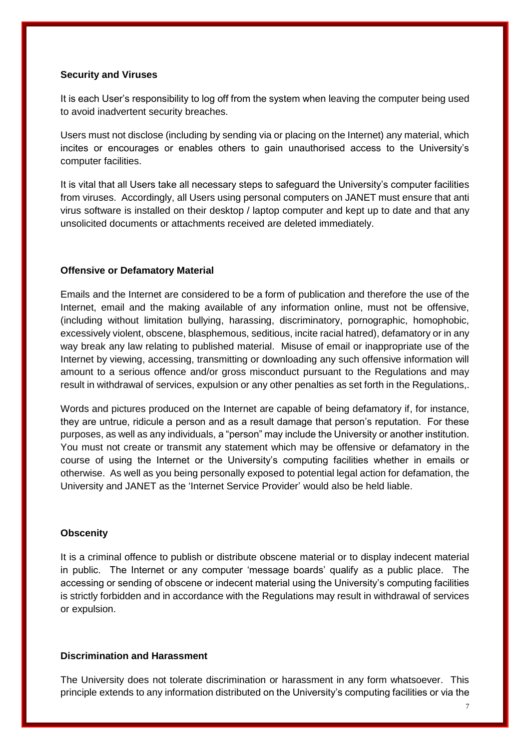#### **Security and Viruses**

It is each User's responsibility to log off from the system when leaving the computer being used to avoid inadvertent security breaches.

Users must not disclose (including by sending via or placing on the Internet) any material, which incites or encourages or enables others to gain unauthorised access to the University's computer facilities.

It is vital that all Users take all necessary steps to safeguard the University's computer facilities from viruses. Accordingly, all Users using personal computers on JANET must ensure that anti virus software is installed on their desktop / laptop computer and kept up to date and that any unsolicited documents or attachments received are deleted immediately.

#### **Offensive or Defamatory Material**

Emails and the Internet are considered to be a form of publication and therefore the use of the Internet, email and the making available of any information online, must not be offensive, (including without limitation bullying, harassing, discriminatory, pornographic, homophobic, excessively violent, obscene, blasphemous, seditious, incite racial hatred), defamatory or in any way break any law relating to published material. Misuse of email or inappropriate use of the Internet by viewing, accessing, transmitting or downloading any such offensive information will amount to a serious offence and/or gross misconduct pursuant to the Regulations and may result in withdrawal of services, expulsion or any other penalties as set forth in the Regulations,.

Words and pictures produced on the Internet are capable of being defamatory if, for instance, they are untrue, ridicule a person and as a result damage that person's reputation. For these purposes, as well as any individuals, a "person" may include the University or another institution. You must not create or transmit any statement which may be offensive or defamatory in the course of using the Internet or the University's computing facilities whether in emails or otherwise. As well as you being personally exposed to potential legal action for defamation, the University and JANET as the 'Internet Service Provider' would also be held liable.

#### **Obscenity**

It is a criminal offence to publish or distribute obscene material or to display indecent material in public. The Internet or any computer 'message boards' qualify as a public place. The accessing or sending of obscene or indecent material using the University's computing facilities is strictly forbidden and in accordance with the Regulations may result in withdrawal of services or expulsion.

## **Discrimination and Harassment**

The University does not tolerate discrimination or harassment in any form whatsoever. This principle extends to any information distributed on the University's computing facilities or via the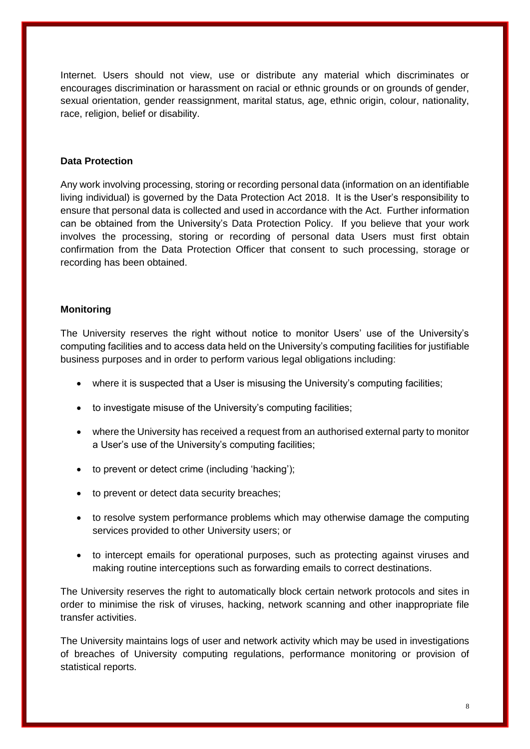Internet. Users should not view, use or distribute any material which discriminates or encourages discrimination or harassment on racial or ethnic grounds or on grounds of gender, sexual orientation, gender reassignment, marital status, age, ethnic origin, colour, nationality, race, religion, belief or disability.

#### **Data Protection**

Any work involving processing, storing or recording personal data (information on an identifiable living individual) is governed by the Data Protection Act 2018. It is the User's responsibility to ensure that personal data is collected and used in accordance with the Act. Further information can be obtained from the University's Data Protection Policy. If you believe that your work involves the processing, storing or recording of personal data Users must first obtain confirmation from the Data Protection Officer that consent to such processing, storage or recording has been obtained.

#### **Monitoring**

The University reserves the right without notice to monitor Users' use of the University's computing facilities and to access data held on the University's computing facilities for justifiable business purposes and in order to perform various legal obligations including:

- where it is suspected that a User is misusing the University's computing facilities;
- to investigate misuse of the University's computing facilities;
- where the University has received a request from an authorised external party to monitor a User's use of the University's computing facilities;
- to prevent or detect crime (including 'hacking');
- to prevent or detect data security breaches;
- to resolve system performance problems which may otherwise damage the computing services provided to other University users; or
- to intercept emails for operational purposes, such as protecting against viruses and making routine interceptions such as forwarding emails to correct destinations.

The University reserves the right to automatically block certain network protocols and sites in order to minimise the risk of viruses, hacking, network scanning and other inappropriate file transfer activities.

The University maintains logs of user and network activity which may be used in investigations of breaches of University computing regulations, performance monitoring or provision of statistical reports.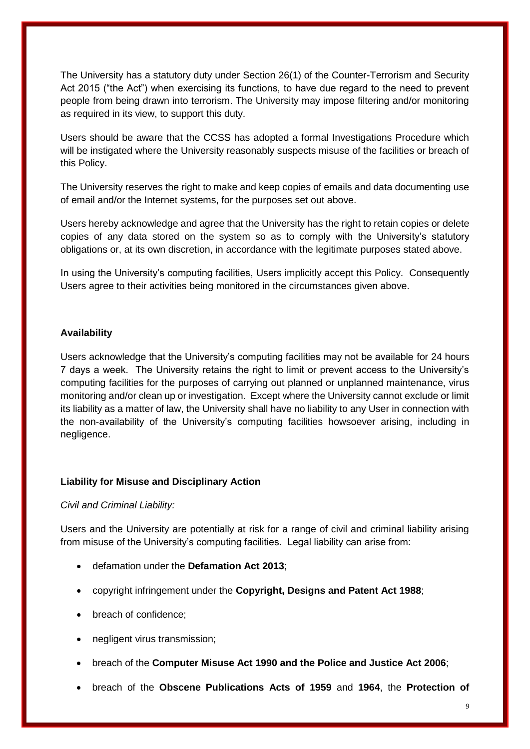The University has a statutory duty under Section 26(1) of the Counter-Terrorism and Security Act 2015 ("the Act") when exercising its functions, to have due regard to the need to prevent people from being drawn into terrorism. The University may impose filtering and/or monitoring as required in its view, to support this duty.

Users should be aware that the CCSS has adopted a formal Investigations Procedure which will be instigated where the University reasonably suspects misuse of the facilities or breach of this Policy.

The University reserves the right to make and keep copies of emails and data documenting use of email and/or the Internet systems, for the purposes set out above.

Users hereby acknowledge and agree that the University has the right to retain copies or delete copies of any data stored on the system so as to comply with the University's statutory obligations or, at its own discretion, in accordance with the legitimate purposes stated above.

In using the University's computing facilities, Users implicitly accept this Policy. Consequently Users agree to their activities being monitored in the circumstances given above.

## **Availability**

Users acknowledge that the University's computing facilities may not be available for 24 hours 7 days a week. The University retains the right to limit or prevent access to the University's computing facilities for the purposes of carrying out planned or unplanned maintenance, virus monitoring and/or clean up or investigation. Except where the University cannot exclude or limit its liability as a matter of law, the University shall have no liability to any User in connection with the non-availability of the University's computing facilities howsoever arising, including in negligence.

#### **Liability for Misuse and Disciplinary Action**

#### *Civil and Criminal Liability:*

Users and the University are potentially at risk for a range of civil and criminal liability arising from misuse of the University's computing facilities. Legal liability can arise from:

- defamation under the **Defamation Act 2013**;
- copyright infringement under the **Copyright, Designs and Patent Act 1988**;
- breach of confidence;
- negligent virus transmission;
- breach of the **Computer Misuse Act 1990 and the Police and Justice Act 2006**;
- breach of the **Obscene Publications Acts of 1959** and **1964**, the **Protection of**